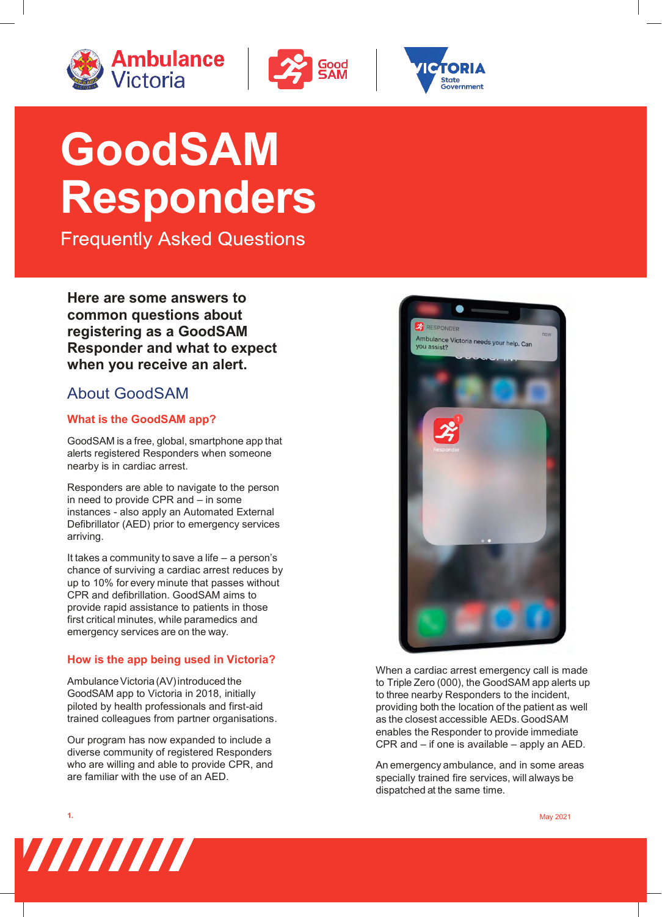





# **GoodSAM Responders**

**Frequently Asked Questions** 

**Here are some answers to common questions about registering as a GoodSAM Responder and what to expect when you receive an alert.** 

# About GoodSAM

# **What is the GoodSAM app?**

GoodSAM is a free, global, smartphone app that alerts registered Responders when someone nearby is in cardiac arrest.

Responders are able to navigate to the person in need to provide CPR and – in some instances - also apply an Automated External Defibrillator (AED) prior to emergency services arriving.

It takes a community to save a life – a person's chance of surviving a cardiac arrest reduces by up to 10% for every minute that passes without CPR and defibrillation. GoodSAM aims to provide rapid assistance to patients in those first critical minutes, while paramedics and emergency services are on the way.

# **How is the app being used in Victoria?**

Ambulance Victoria (AV) introduced the GoodSAM app to Victoria in 2018, initially piloted by health professionals and first-aid trained colleagues from partner organisations.

Our program has now expanded to include a diverse community of registered Responders who are willing and able to provide CPR, and are familiar with the use of an AED.



When a cardiac arrest emergency call is made to Triple Zero (000), the GoodSAM app alerts up to three nearby Responders to the incident, providing both the location of the patient as well as the closest accessible AEDs. GoodSAM enables the Responder to provide immediate CPR and – if one is available – apply an AED.

An emergency ambulance, and in some areas specially trained fire services, will always be dispatched at the same time.





**1.** May 2021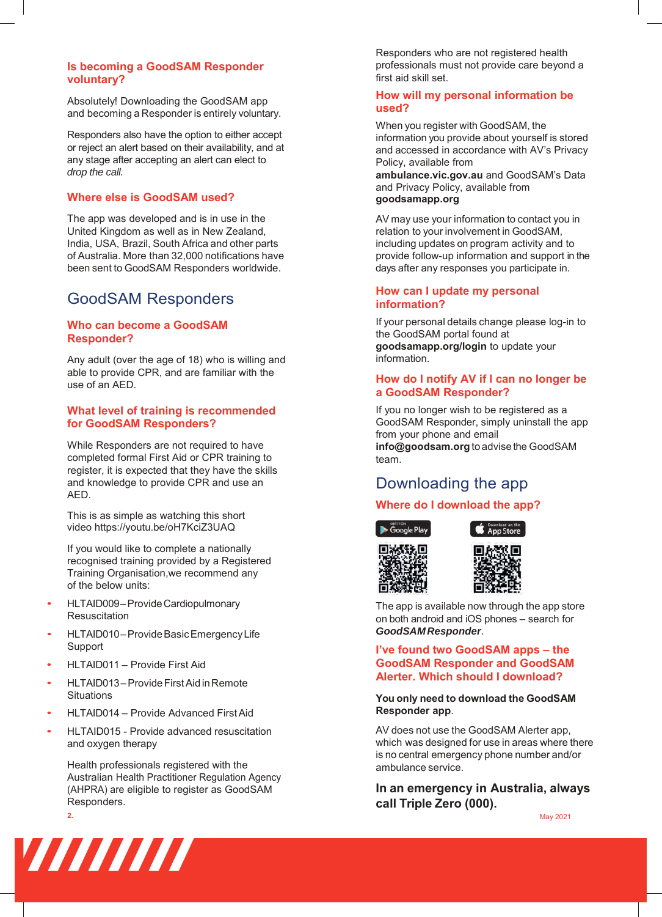#### **Is becoming a GoodSAM Responder voluntary?**

Absolutely! Downloading the GoodSAM app and becoming a Responder is entirely voluntary.

Responders also have the option to either accept or reject an alert based on their availability, and at any stage after accepting an alert can elect to *drop the call.* 

#### **Where else is GoodSAM used?**

The app was developed and is in use in the United Kingdom as well as in New Zealand, India, USA, Brazil, South Africa and other parts of Australia. More than 32,000 notifications have been sent to GoodSAM Responders worldwide.

# GoodSAM Responders

## **Who can become a GoodSAM Responder?**

Any adult (over the age of 18) who is willing and able to provide CPR, and are familiar with the use of an AED.

## **What level of training is recommended for GoodSAM Responders?**

While Responders are not required to have completed formal First Aid or CPR training to register, it is expected that they have the skills and knowledge to provide CPR and use an AED.

This is as simple as watching this short video https://youtu.be/oH7KciZ3UAQ

If you would like to complete a nationally recognised training provided by a Registered Training Organisation,we recommend any of the below units:

- HLTAID009 Provide Cardiopulmonary Resuscitation
- HLTAID010 Provide Basic Emergency Life Support
- HLTAID011 Provide First Aid
- HLTAID013 Provide First Aid in Remote **Situations**
- HLTAID014 Provide Advanced First Aid
- HLTAID015 - Provide advanced resuscitation and oxygen therapy

Health professionals registered with the Australian Health Practitioner Regulation Agency (AHPRA) are eligible to register as GoodSAM Responders.

Responders who are not registered health professionals must not provide care beyond a first aid skill set.

#### **How will my personal information be used?**

When you register with GoodSAM, the information you provide about yourself is stored and accessed in accordance with AV's Privacy Policy, available from **ambulance.vic.gov.au** and GoodSAM's Data and Privacy Policy, available from **goodsamapp.org** 

AV may use your information to contact you in relation to your involvement in GoodSAM, including updates on program activity and to provide follow-up information and support in the days after any responses you participate in.

## **How can I update my personal information?**

If your personal details change please log-in to the GoodSAM portal found at **goodsamapp.org/login** to update your information.

## **How do I notify AV if I can no longer be a GoodSAM Responder?**

If you no longer wish to be registered as a GoodSAM Responder, simply uninstall the app from your phone and email **info@goodsam.org** to advise the GoodSAM team.

# Downloading the app

# **Where do I download the app?**





App Store

The app is available now through the app store on both android and iOS phones – search for *GoodSAM Responder*.

#### **I've found two GoodSAM apps – the GoodSAM Responder and GoodSAM Alerter. Which should I download?**

#### **You only need to download the GoodSAM Responder app**.

AV does not use the GoodSAM Alerter app, which was designed for use in areas where there is no central emergency phone number and/or ambulance service.

**In an emergency in Australia, always call Triple Zero (000).** 



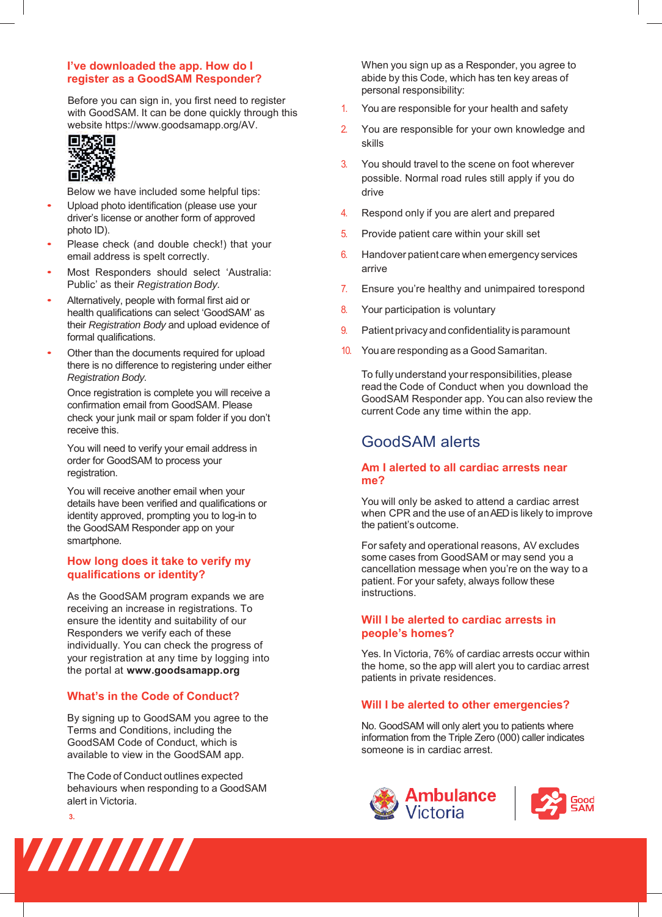# **I've downloaded the app. How do I register as a GoodSAM Responder?**

with GoodSAM. It can be done quickly through this website https://www.goodsamapp.org/AV. Before you can sign in, you first need to register



Below we have included some helpful tips:

- Upload photo identification (please use your driver's license or another form of approved photo ID).
- Please check (and double check!) that your email address is spelt correctly.
- Most Responders should select 'Australia: Public' as their *Registration Body.*
- Alternatively, people with formal first aid or health qualifications can select 'GoodSAM' as their *Registration Body* and upload evidence of formal qualifications.
- Other than the documents required for upload there is no difference to registering under either *Registration Body.*

Once registration is complete you will receive a confirmation email from GoodSAM. Please check your junk mail or spam folder if you don't receive this.

You will need to verify your email address in order for GoodSAM to process your registration.

You will receive another email when your details have been verified and qualifications or identity approved, prompting you to log-in to the GoodSAM Responder app on your smartphone.

## **How long does it take to verify my qualifications or identity?**

As the GoodSAM program expands we are receiving an increase in registrations. To ensure the identity and suitability of our Responders we verify each of these individually. You can check the progress of your registration at any time by logging into the portal at **[www.goodsama](http://www.goodsamapp.org/)pp.org**

# **What's in the Code of Conduct?**

By signing up to GoodSAM you agree to the Terms and Conditions, including the GoodSAM Code of Conduct, which is available to view in the GoodSAM app.

The Code of Conduct outlines expected behaviours when responding to a GoodSAM alert in Victoria.

**3.** 



When you sign up as a Responder, you agree to abide by this Code, which has ten key areas of personal responsibility:

- 1. You are responsible for your health and safety
- 2. You are responsible for your own knowledge and skills
- 3. You should travel to the scene on foot wherever possible. Normal road rules still apply if you do drive
- 4. Respond only if you are alert and prepared
- 5. Provide patient care within your skill set
- 6. Handover patient care when emergency services arrive
- 7. Ensure you're healthy and unimpaired to respond
- 8. Your participation is voluntary
- 9. Patient privacy and confidentiality is paramount
- 10. You are responding as a Good Samaritan.

To fully understand your responsibilities, please read the Code of Conduct when you download the GoodSAM Responder app. You can also review the current Code any time within the app.

# GoodSAM alerts

# **Am I alerted to all cardiac arrests near me?**

You will only be asked to attend a cardiac arrest when CPR and the use of an AED is likely to improve the patient's outcome.

For safety and operational reasons, AV excludes some cases from GoodSAM or may send you a cancellation message when you're on the way to a patient. For your safety, always follow these instructions.

# **Will I be alerted to cardiac arrests in people's homes?**

Yes. In Victoria, 76% of cardiac arrests occur within the home, so the app will alert you to cardiac arrest patients in private residences.

# **Will I be alerted to other emergencies?**

No. GoodSAM will only alert you to patients where information from the Triple Zero (000) caller indicates someone is in cardiac arrest.

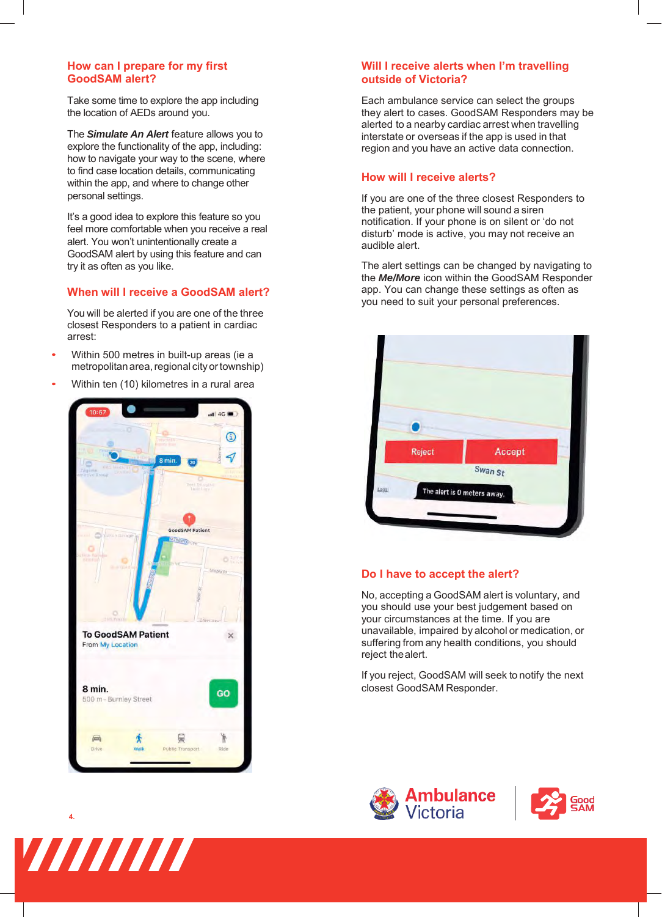## **How can I prepare for my first GoodSAM alert?**

Take some time to explore the app including the location of AEDs around you.

The *Simulate An Alert* feature allows you to explore the functionality of the app, including: how to navigate your way to the scene, where to find case location details, communicating within the app, and where to change other personal settings.

It's a good idea to explore this feature so you feel more comfortable when you receive a real alert. You won't unintentionally create a GoodSAM alert by using this feature and can try it as often as you like.

# **When will I receive a GoodSAM alert?**

You will be alerted if you are one of the three closest Responders to a patient in cardiac arrest:

- Within 500 metres in built-up areas (ie a metropolitan area, regional city ortownship)
- Within ten (10) kilometres in a rural area



# **Will I receive alerts when I'm travelling outside of Victoria?**

Each ambulance service can select the groups they alert to cases. GoodSAM Responders may be alerted to a nearby cardiac arrest when travelling interstate or overseas if the app is used in that region and you have an active data connection.

## **How will I receive alerts?**

If you are one of the three closest Responders to the patient, your phone will sound a siren notification. If your phone is on silent or 'do not disturb' mode is active, you may not receive an audible alert.

The alert settings can be changed by navigating to the *Me/More* icon within the GoodSAM Responder app. You can change these settings as often as you need to suit your personal preferences.



#### **Do I have to accept the alert?**

No, accepting a GoodSAM alert is voluntary, and you should use your best judgement based on your circumstances at the time. If you are unavailable, impaired by alcohol or medication, or suffering from any health conditions, you should reject the alert.

If you reject, GoodSAM will seek to notify the next closest GoodSAM Responder.





**4.**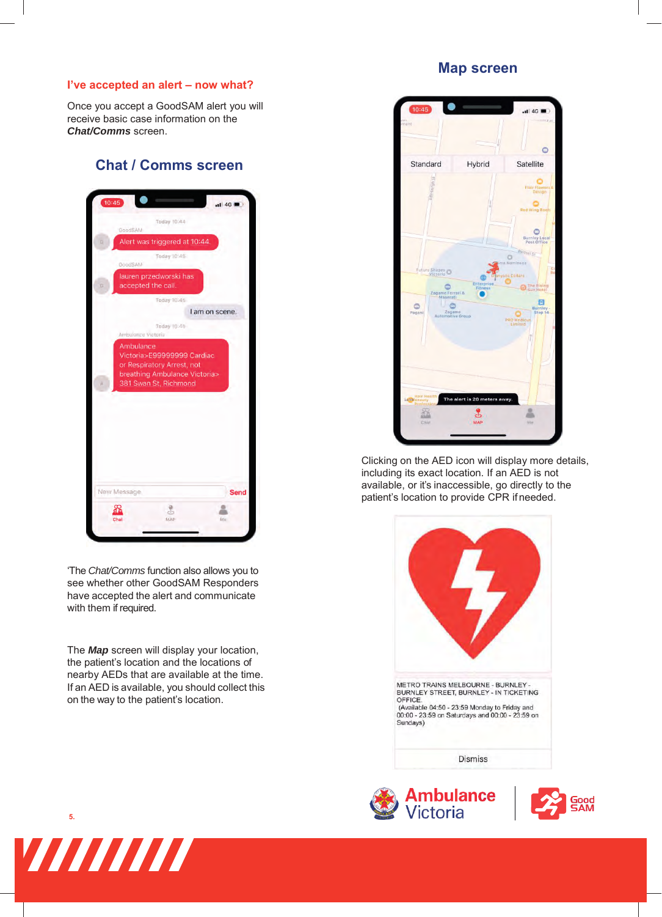## **I've accepted an alert – now what?**

Once you accept a GoodSAM alert you will receive basic case information on the *Chat/Comms* screen.

# **Chat / Comms screen**



'The *Chat/Comms* function also allows you to see whether other GoodSAM Responders have accepted the alert and communicate with them if required.

The *Map* screen will display your location, the patient's location and the locations of nearby AEDs that are available at the time. If an AED is available, you should collect this on the way to the patient's location.

# **Map screen**



Clicking on the AED icon will display more details, including its exact location. If an AED is not available, or it's inaccessible, go directly to the patient's location to provide CPR if needed.









**5.**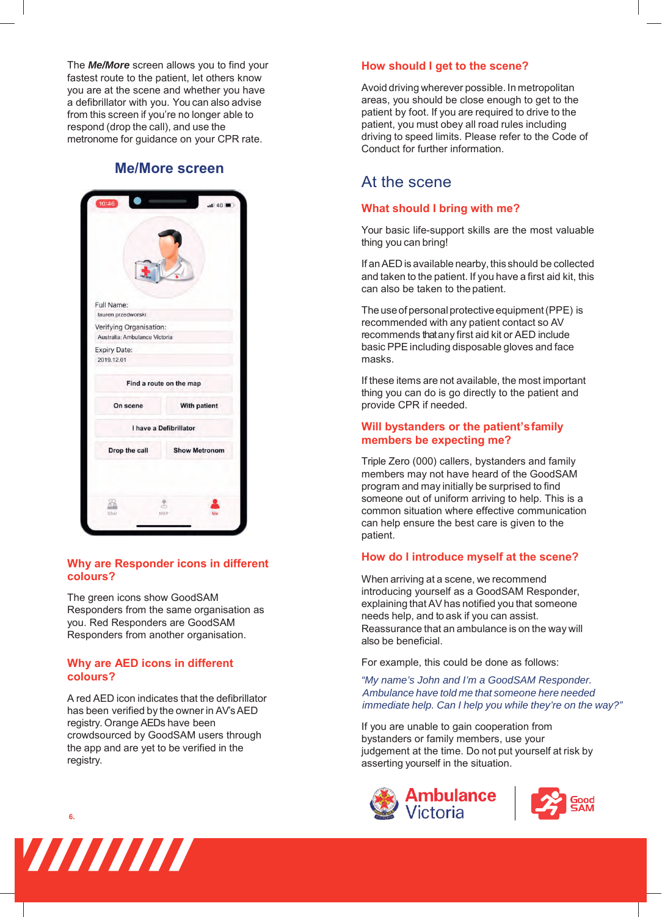The *Me/More* screen allows you to find your fastest route to the patient, let others know you are at the scene and whether you have a defibrillator with you. You can also advise from this screen if you're no longer able to respond (drop the call), and use the metronome for guidance on your CPR rate.

# **Me/More screen**

| Full Name:                                               |                         |
|----------------------------------------------------------|-------------------------|
| lauren przedworski                                       |                         |
| Verifying Organisation:<br>Australia: Ambulance Victoria |                         |
| <b>Expiry Date:</b><br>2019.12.01                        |                         |
|                                                          | Find a route on the map |
| On scene                                                 | With patient            |
|                                                          | I have a Defibrillator  |
| Drop the call                                            | <b>Show Metronom</b>    |
|                                                          |                         |

## **Why are Responder icons in different colours?**

The green icons show GoodSAM Responders from the same organisation as you. Red Responders are GoodSAM Responders from another organisation.

#### **Why are AED icons in different colours?**

A red AED icon indicates that the defibrillator has been verified by the owner in AV's AED registry. Orange AEDs have been crowdsourced by GoodSAM users through the app and are yet to be verified in the registry.



## **How should I get to the scene?**

Avoid driving wherever possible. In metropolitan areas, you should be close enough to get to the patient by foot. If you are required to drive to the patient, you must obey all road rules including driving to speed limits. Please refer to the Code of Conduct for further information.

# At the scene

#### **What should I bring with me?**

Your basic life-support skills are the most valuable thing you can bring!

If an AED is available nearby, this should be collected and taken to the patient. If you have a first aid kit, this can also be taken to the patient.

The use of personal protective equipment (PPE) is recommended with any patient contact so AV recommends that any first aid kit or AED include basic PPE including disposable gloves and face masks.

If these items are not available, the most important thing you can do is go directly to the patient and provide CPR if needed.

## **Will bystanders or the patient's family members be expecting me?**

Triple Zero (000) callers, bystanders and family members may not have heard of the GoodSAM program and may initially be surprised to find someone out of uniform arriving to help. This is a common situation where effective communication can help ensure the best care is given to the patient.

#### **How do I introduce myself at the scene?**

When arriving at a scene, we recommend introducing yourself as a GoodSAM Responder, explaining that AV has notified you that someone needs help, and to ask if you can assist. Reassurance that an ambulance is on the way will also be beneficial.

For example, this could be done as follows:

*"My name's John and I'm a GoodSAM Responder. Ambulance have told me that someone here needed immediate help. Can I help you while they're on the way?"* 

If you are unable to gain cooperation from bystanders or family members, use your judgement at the time. Do not put yourself at risk by asserting yourself in the situation.